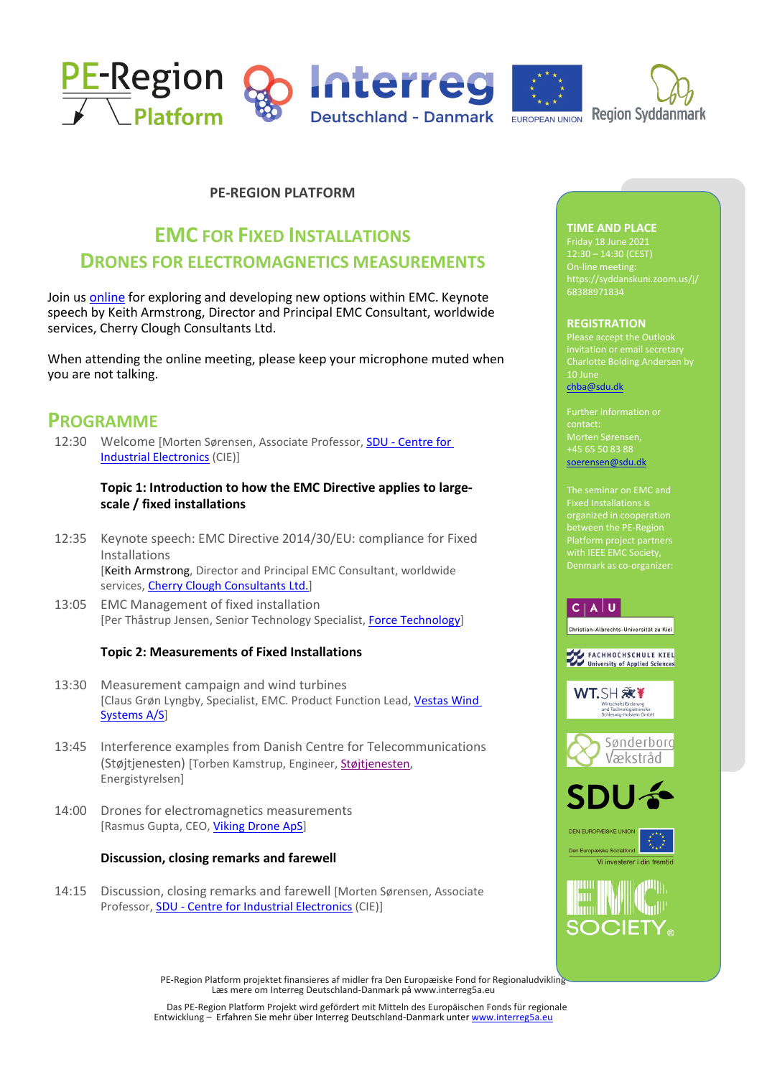

## **PE-REGION PLATFORM**

# **EMC FOR FIXED INSTALLATIONS DRONES FOR ELECTROMAGNETICS MEASUREMENTS**

Join us [online](https://syddanskuni.zoom.us/j/68388971834) for exploring and developing new options within EMC. Keynote speech by Keith Armstrong, Director and Principal EMC Consultant, worldwide services, Cherry Clough Consultants Ltd.

When attending the online meeting, please keep your microphone muted when you are not talking.

## **PROGRAMME**

12:30 Welcome [Morten Sørensen, Associate Professor, SDU - [Centre for](https://www.sdu.dk/en/forskning/centre+for+industrial+elektronics)  [Industrial Electronics](https://www.sdu.dk/en/forskning/centre+for+industrial+elektronics) (CIE)]

### **Topic 1: Introduction to how the EMC Directive applies to largescale / fixed installations**

- 12:35 Keynote speech: EMC Directive 2014/30/EU: compliance for Fixed Installations [Keith Armstrong, Director and Principal EMC Consultant, worldwide services, [Cherry Clough Consultants Ltd.\]](https://www.cherryclough.com/home)
- 13:05 EMC Management of fixed installation [Per Thåstrup Jensen, Senior Technology Specialist, Force Technology]

### **Topic 2: Measurements of Fixed Installations**

- 13:30 Measurement campaign and wind turbines [Claus Grøn Lyngby, Specialist, EMC. Product Function Lead[, Vestas](https://www.vestas.com/) Wind [Systems](https://www.vestas.com/) A/S]
- 13:45 Interference examples from Danish Centre for Telecommunications (Støjtjenesten) [Torben Kamstrup, Engineer[, Støjtjenesten,](https://ens.dk/ansvarsomraader/frekvenser/stoej-og-forstyrrelser/kontakt-os-ved-stoej-og-forstyrrelser) Energistyrelsen]
- 14:00 Drones for electromagnetics measurements [Rasmus Gupta, CEO, [Viking Drone ApS\]](https://viking-drone.com/)

### **Discussion, closing remarks and farewell**

14:15 Discussion, closing remarks and farewell [Morten Sørensen, Associate Professor, SDU - [Centre for Industrial Electronics](https://www.sdu.dk/en/forskning/centre+for+industrial+elektronics) (CIE)]

## **TIME AND PLACE**

On-line meeting: https://syddanskuni.zoom.us/j/ 68388971834

#### **REGISTRATION**

invitation or email secretary Charlotte Bolding Andersen by 10 June [chba@sdu.dk](mailto:cba@mci.sdu.dk)

Morten Sørensen, +45 65 50 83 88 [soerensen@sdu.dk](mailto:soerensen@sdu.dk)

between the PE-Region with IEEE EMC Society, Denmark as co-organizer:

## $C | A | U$

.<br>Christian-Albrechts-Universität zu Kiel

FACHHOCHSCHULE KIEL<br>University of Applied Sciences

WT.SH 激<sup>¥</sup> d Technologietransfer









PE-Region Platform projektet finansieres af midler fra Den Europæiske Fond for Regionaludvikling – Læs mere om Interreg Deutschland-Danmark på www.interreg5a.eu

Das PE-Region Platform Projekt wird gefördert mit Mitteln des Europäischen Fonds für regionale Entwicklung – Erfahren Sie mehr über Interreg Deutschland-Danmark unte[r www.interreg5a.eu](http://www.interreg5a.eu/)